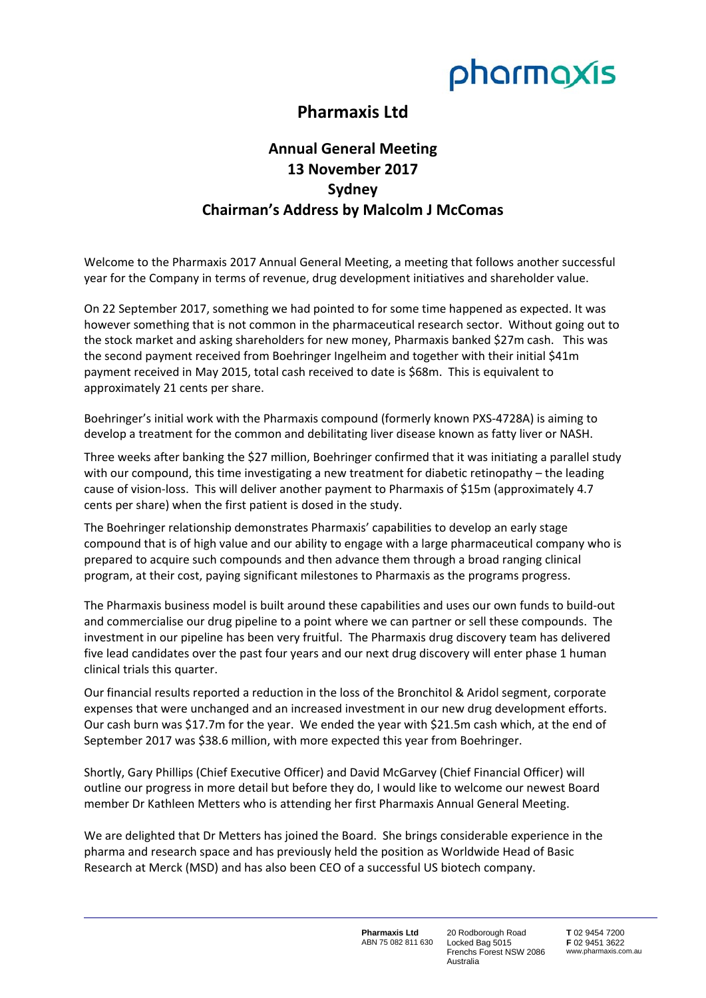

## **Pharmaxis Ltd**

## **Annual General Meeting 13 November 2017 Sydney Chairman's Address by Malcolm J McComas**

Welcome to the Pharmaxis 2017 Annual General Meeting, a meeting that follows another successful year for the Company in terms of revenue, drug development initiatives and shareholder value.

On 22 September 2017, something we had pointed to for some time happened as expected. It was however something that is not common in the pharmaceutical research sector. Without going out to the stock market and asking shareholders for new money, Pharmaxis banked \$27m cash. This was the second payment received from Boehringer Ingelheim and together with their initial \$41m payment received in May 2015, total cash received to date is \$68m. This is equivalent to approximately 21 cents per share.

Boehringer's initial work with the Pharmaxis compound (formerly known PXS‐4728A) is aiming to develop a treatment for the common and debilitating liver disease known as fatty liver or NASH.

Three weeks after banking the \$27 million, Boehringer confirmed that it was initiating a parallel study with our compound, this time investigating a new treatment for diabetic retinopathy – the leading cause of vision‐loss. This will deliver another payment to Pharmaxis of \$15m (approximately 4.7 cents per share) when the first patient is dosed in the study.

The Boehringer relationship demonstrates Pharmaxis' capabilities to develop an early stage compound that is of high value and our ability to engage with a large pharmaceutical company who is prepared to acquire such compounds and then advance them through a broad ranging clinical program, at their cost, paying significant milestones to Pharmaxis as the programs progress.

The Pharmaxis business model is built around these capabilities and uses our own funds to build-out and commercialise our drug pipeline to a point where we can partner or sell these compounds. The investment in our pipeline has been very fruitful. The Pharmaxis drug discovery team has delivered five lead candidates over the past four years and our next drug discovery will enter phase 1 human clinical trials this quarter.

Our financial results reported a reduction in the loss of the Bronchitol & Aridol segment, corporate expenses that were unchanged and an increased investment in our new drug development efforts. Our cash burn was \$17.7m for the year. We ended the year with \$21.5m cash which, at the end of September 2017 was \$38.6 million, with more expected this year from Boehringer.

Shortly, Gary Phillips (Chief Executive Officer) and David McGarvey (Chief Financial Officer) will outline our progress in more detail but before they do, I would like to welcome our newest Board member Dr Kathleen Metters who is attending her first Pharmaxis Annual General Meeting.

We are delighted that Dr Metters has joined the Board. She brings considerable experience in the pharma and research space and has previously held the position as Worldwide Head of Basic Research at Merck (MSD) and has also been CEO of a successful US biotech company.

> **Pharmaxis Ltd**  ABN 75 082 811 630

20 Rodborough Road Locked Bag 5015 Frenchs Forest NSW 2086 Australia

**T** 02 9454 7200 **F** 02 9451 3622 www.pharmaxis.com.au